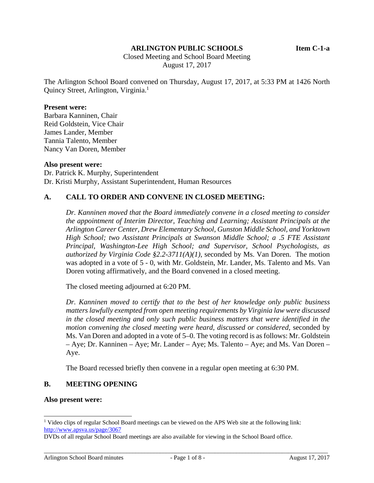### **ARLINGTON PUBLIC SCHOOLS Item C-1-a**

 Closed Meeting and School Board Meeting August 17, 2017

The Arlington School Board convened on Thursday, August 17, 2017, at 5:33 PM at 1426 North Quincy Street, Arlington, Virginia.<sup>1</sup>

#### **Present were:**

Barbara Kanninen, Chair Reid Goldstein, Vice Chair James Lander, Member Tannia Talento, Member Nancy Van Doren, Member

#### **Also present were:**

Dr. Patrick K. Murphy, Superintendent Dr. Kristi Murphy, Assistant Superintendent, Human Resources

## **A. CALL TO ORDER AND CONVENE IN CLOSED MEETING:**

*Dr. Kanninen moved that the Board immediately convene in a closed meeting to consider the appointment of Interim Director, Teaching and Learning; Assistant Principals at the Arlington Career Center, Drew Elementary School, Gunston Middle School, and Yorktown High School; two Assistant Principals at Swanson Middle School; a .5 FTE Assistant Principal, Washington-Lee High School; and Supervisor, School Psychologists, as authorized by Virginia Code §2.2-3711(A)(1),* seconded by Ms. Van Doren. The motion was adopted in a vote of 5 - 0, with Mr. Goldstein, Mr. Lander, Ms. Talento and Ms. Van Doren voting affirmatively, and the Board convened in a closed meeting.

The closed meeting adjourned at 6:20 PM.

*Dr. Kanninen moved to certify that to the best of her knowledge only public business matters lawfully exempted from open meeting requirements by Virginia law were discussed in the closed meeting and only such public business matters that were identified in the motion convening the closed meeting were heard, discussed or considered,* seconded by Ms. Van Doren and adopted in a vote of 5–0. The voting record is as follows: Mr. Goldstein – Aye; Dr. Kanninen – Aye; Mr. Lander – Aye; Ms. Talento – Aye; and Ms. Van Doren – Aye.

The Board recessed briefly then convene in a regular open meeting at 6:30 PM.

### **B. MEETING OPENING**

#### **Also present were:**

l

<sup>&</sup>lt;sup>1</sup> Video clips of regular School Board meetings can be viewed on the APS Web site at the following link: http://www.apsva.us/page/3067

DVDs of all regular School Board meetings are also available for viewing in the School Board office.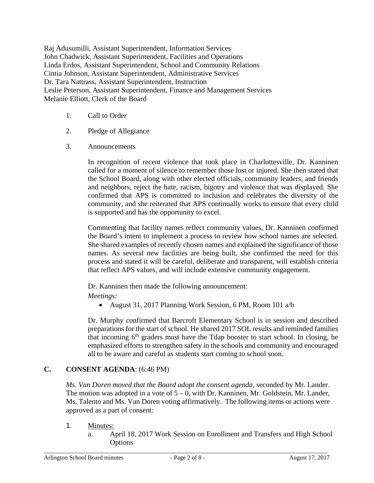Raj Adusumilli, Assistant Superintendent, Information Services John Chadwick, Assistant Superintendent, Facilities and Operations Linda Erdos, Assistant Superintendent, School and Community Relations Cintia Johnson, Assistant Superintendent, Administrative Services Dr. Tara Nattrass, Assistant Superintendent, Instruction Leslie Peterson, Assistant Superintendent, Finance and Management Services Melanie Elliott, Clerk of the Board

- 1. Call to Order
- 2. Pledge of Allegiance
- 3. Announcements

In recognition of recent violence that took place in Charlottesville, Dr. Kanninen called for a moment of silence to remember those lost or injured. She then stated that the School Board, along with other elected officials, community leaders, and friends and neighbors, reject the hate, racism, bigotry and violence that was displayed. She confirmed that APS is committed to inclusion and celebrates the diversity of the community, and she reiterated that APS continually works to ensure that every child is supported and has the opportunity to excel.

Commenting that facility names reflect community values, Dr. Kanninen confirmed the Board's intent to implement a process to review how school names are selected. She shared examples of recently chosen names and explained the significance of those names. As several new facilities are being built, she confirmed the need for this process and stated it will be careful, deliberate and transparent, will establish criteria that reflect APS values, and will include extensive community engagement.

Dr. Kanninen then made the following announcement:

*Meetings:* 

August 31, 2017 Planning Work Session, 6 PM, Room 101 a/b

Dr. Murphy confirmed that Barcroft Elementary School is in session and described preparations for the start of school. He shared 2017 SOL results and reminded families that incoming  $6<sup>th</sup>$  graders must have the Tdap booster to start school. In closing, he emphasized efforts to strengthen safety in the schools and community and encouraged all to be aware and careful as students start coming to school soon.

# **C. CONSENT AGENDA**: (6:46 PM)

*Ms. Van Doren moved that the Board adopt the consent agenda*, seconded by Mr. Lander. The motion was adopted in a vote of  $5 - 0$ , with Dr. Kanninen, Mr. Goldstein, Mr. Lander, Ms. Talento and Ms. Van Doren voting affirmatively. The following items or actions were approved as a part of consent:

- 1. Minutes:
	- a. April 18, 2017 Work Session on Enrollment and Transfers and High School Options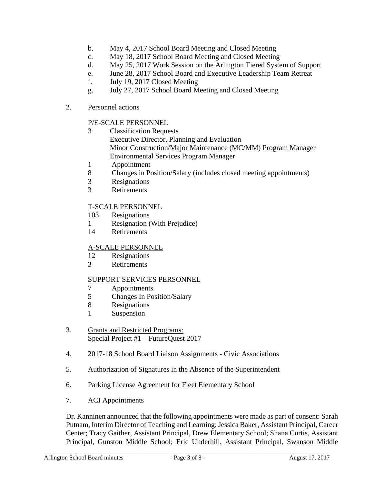- b. May 4, 2017 School Board Meeting and Closed Meeting
- c. May 18, 2017 School Board Meeting and Closed Meeting
- d. May 25, 2017 Work Session on the Arlington Tiered System of Support
- e. June 28, 2017 School Board and Executive Leadership Team Retreat
- f. July 19, 2017 Closed Meeting
- g. July 27, 2017 School Board Meeting and Closed Meeting
- 2. Personnel actions

## P/E-SCALE PERSONNEL

- 3 Classification Requests Executive Director, Planning and Evaluation Minor Construction/Major Maintenance (MC/MM) Program Manager Environmental Services Program Manager
- 1 Appointment
- 8 Changes in Position/Salary (includes closed meeting appointments)
- 3 Resignations
- 3 Retirements

# T-SCALE PERSONNEL

- 103 Resignations
- 1 Resignation (With Prejudice)
- 14 Retirements

# A-SCALE PERSONNEL

- 12 Resignations
- 3 Retirements

### SUPPORT SERVICES PERSONNEL

- 7 Appointments<br>5 Changes In Po
- 5 Changes In Position/Salary
- 8 Resignations
- 1 Suspension
- 3. Grants and Restricted Programs: Special Project #1 – FutureQuest 2017
- 4. 2017-18 School Board Liaison Assignments Civic Associations
- 5. Authorization of Signatures in the Absence of the Superintendent
- 6. Parking License Agreement for Fleet Elementary School
- 7. ACI Appointments

Dr. Kanninen announced that the following appointments were made as part of consent: Sarah Putnam, Interim Director of Teaching and Learning; Jessica Baker, Assistant Principal, Career Center; Tracy Gaither, Assistant Principal, Drew Elementary School; Shana Curtis, Assistant Principal, Gunston Middle School; Eric Underhill, Assistant Principal, Swanson Middle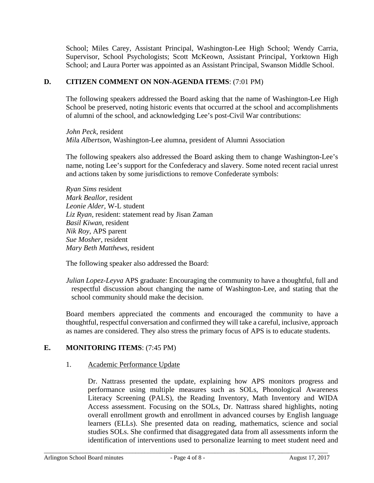School; Miles Carey, Assistant Principal, Washington-Lee High School; Wendy Carria, Supervisor, School Psychologists; Scott McKeown, Assistant Principal, Yorktown High School; and Laura Porter was appointed as an Assistant Principal, Swanson Middle School.

## **D. CITIZEN COMMENT ON NON-AGENDA ITEMS**: (7:01 PM)

The following speakers addressed the Board asking that the name of Washington-Lee High School be preserved, noting historic events that occurred at the school and accomplishments of alumni of the school, and acknowledging Lee's post-Civil War contributions:

*John Peck,* resident *Mil*a *Albertson*, Washington-Lee alumna, president of Alumni Association

The following speakers also addressed the Board asking them to change Washington-Lee's name, noting Lee's support for the Confederacy and slavery. Some noted recent racial unrest and actions taken by some jurisdictions to remove Confederate symbols:

*Ryan Sims* resident *Mark Beallor,* resident *Leonie Alder,* W-L student *Liz Ryan,* resident: statement read by Jisan Zaman *Basil Kiwan,* resident *Nik Roy,* APS parent *Sue Mosher*, resident *Mary Beth Matthews*, resident

The following speaker also addressed the Board:

*Julian Lopez-Leyva* APS graduate: Encouraging the community to have a thoughtful, full and respectful discussion about changing the name of Washington-Lee, and stating that the school community should make the decision.

Board members appreciated the comments and encouraged the community to have a thoughtful, respectful conversation and confirmed they will take a careful, inclusive, approach as names are considered. They also stress the primary focus of APS is to educate students.

# **E. MONITORING ITEMS**: (7:45 PM)

### 1. Academic Performance Update

Dr. Nattrass presented the update, explaining how APS monitors progress and performance using multiple measures such as SOLs, Phonological Awareness Literacy Screening (PALS), the Reading Inventory, Math Inventory and WIDA Access assessment. Focusing on the SOLs, Dr. Nattrass shared highlights, noting overall enrollment growth and enrollment in advanced courses by English language learners (ELLs). She presented data on reading, mathematics, science and social studies SOLs. She confirmed that disaggregated data from all assessments inform the identification of interventions used to personalize learning to meet student need and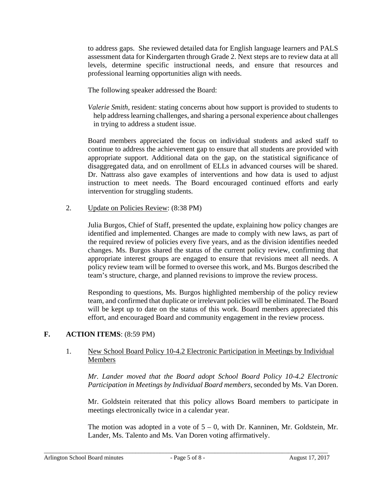to address gaps. She reviewed detailed data for English language learners and PALS assessment data for Kindergarten through Grade 2. Next steps are to review data at all levels, determine specific instructional needs, and ensure that resources and professional learning opportunities align with needs.

The following speaker addressed the Board:

*Valerie Smith,* resident: stating concerns about how support is provided to students to help address learning challenges, and sharing a personal experience about challenges in trying to address a student issue.

Board members appreciated the focus on individual students and asked staff to continue to address the achievement gap to ensure that all students are provided with appropriate support. Additional data on the gap, on the statistical significance of disaggregated data, and on enrollment of ELLs in advanced courses will be shared. Dr. Nattrass also gave examples of interventions and how data is used to adjust instruction to meet needs. The Board encouraged continued efforts and early intervention for struggling students.

2. Update on Policies Review: (8:38 PM)

Julia Burgos, Chief of Staff, presented the update, explaining how policy changes are identified and implemented. Changes are made to comply with new laws, as part of the required review of policies every five years, and as the division identifies needed changes. Ms. Burgos shared the status of the current policy review, confirming that appropriate interest groups are engaged to ensure that revisions meet all needs. A policy review team will be formed to oversee this work, and Ms. Burgos described the team's structure, charge, and planned revisions to improve the review process.

Responding to questions, Ms. Burgos highlighted membership of the policy review team, and confirmed that duplicate or irrelevant policies will be eliminated. The Board will be kept up to date on the status of this work. Board members appreciated this effort, and encouraged Board and community engagement in the review process.

# **F. ACTION ITEMS**: (8:59 PM)

## 1. New School Board Policy 10-4.2 Electronic Participation in Meetings by Individual Members

*Mr. Lander moved that the Board adopt School Board Policy 10-4.2 Electronic Participation in Meetings by Individual Board members,* seconded by Ms. Van Doren.

Mr. Goldstein reiterated that this policy allows Board members to participate in meetings electronically twice in a calendar year.

The motion was adopted in a vote of  $5 - 0$ , with Dr. Kanninen, Mr. Goldstein, Mr. Lander, Ms. Talento and Ms. Van Doren voting affirmatively.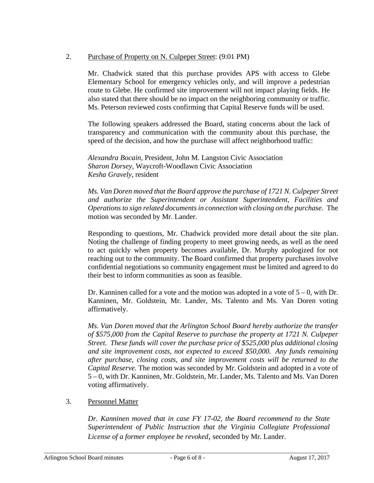# 2. Purchase of Property on N. Culpeper Street: (9:01 PM)

Mr. Chadwick stated that this purchase provides APS with access to Glebe Elementary School for emergency vehicles only, and will improve a pedestrian route to Glebe. He confirmed site improvement will not impact playing fields. He also stated that there should be no impact on the neighboring community or traffic. Ms. Peterson reviewed costs confirming that Capital Reserve funds will be used.

The following speakers addressed the Board, stating concerns about the lack of transparency and communication with the community about this purchase, the speed of the decision, and how the purchase will affect neighborhood traffic:

*Alexandra Bocain,* President, John M. Langston Civic Association *Sharon Dorsey,* Waycroft-Woodlawn Civic Association *Kesha Gravely,* resident

*Ms. Van Doren moved that the Board approve the purchase of 1721 N. Culpeper Street and authorize the Superintendent or Assistant Superintendent, Facilities and Operations to sign related documents in connection with closing on the purchase.* The motion was seconded by Mr. Lander.

Responding to questions, Mr. Chadwick provided more detail about the site plan. Noting the challenge of finding property to meet growing needs, as well as the need to act quickly when property becomes available, Dr. Murphy apologized for not reaching out to the community. The Board confirmed that property purchases involve confidential negotiations so community engagement must be limited and agreed to do their best to inform communities as soon as feasible.

Dr. Kanninen called for a vote and the motion was adopted in a vote of  $5 - 0$ , with Dr. Kanninen, Mr. Goldstein, Mr. Lander, Ms. Talento and Ms. Van Doren voting affirmatively.

*Ms. Van Doren moved that the Arlington School Board hereby authorize the transfer of \$575,000 from the Capital Reserve to purchase the property at 1721 N. Culpeper Street. These funds will cover the purchase price of \$525,000 plus additional closing and site improvement costs, not expected to exceed \$50,000. Any funds remaining after purchase, closing costs, and site improvement costs will be returned to the Capital Reserve.* The motion was seconded by Mr. Goldstein and adopted in a vote of 5 – 0, with Dr. Kanninen, Mr. Goldstein, Mr. Lander, Ms. Talento and Ms. Van Doren voting affirmatively.

# 3. Personnel Matter

*Dr. Kanninen moved that in case FY 17-02, the Board recommend to the State Superintendent of Public Instruction that the Virginia Collegiate Professional License of a former employee be revoked,* seconded by Mr. Lander.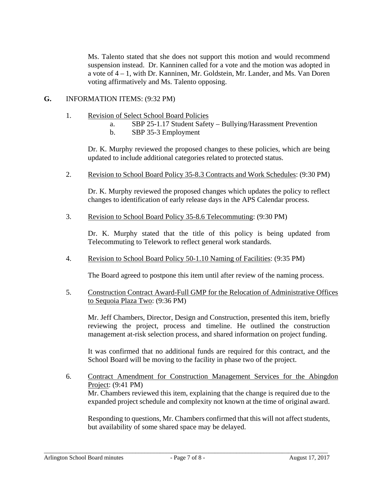Ms. Talento stated that she does not support this motion and would recommend suspension instead. Dr. Kanninen called for a vote and the motion was adopted in a vote of 4 – 1, with Dr. Kanninen, Mr. Goldstein, Mr. Lander, and Ms. Van Doren voting affirmatively and Ms. Talento opposing.

### **G.** INFORMATION ITEMS: (9:32 PM)

- 1. Revision of Select School Board Policies
	- a. SBP 25-1.17 Student Safety Bullying/Harassment Prevention
	- b. SBP 35-3 Employment

Dr. K. Murphy reviewed the proposed changes to these policies, which are being updated to include additional categories related to protected status.

2. Revision to School Board Policy 35-8.3 Contracts and Work Schedules: (9:30 PM)

Dr. K. Murphy reviewed the proposed changes which updates the policy to reflect changes to identification of early release days in the APS Calendar process.

3. Revision to School Board Policy 35-8.6 Telecommuting: (9:30 PM)

Dr. K. Murphy stated that the title of this policy is being updated from Telecommuting to Telework to reflect general work standards.

4. Revision to School Board Policy 50-1.10 Naming of Facilities: (9:35 PM)

The Board agreed to postpone this item until after review of the naming process.

5. Construction Contract Award-Full GMP for the Relocation of Administrative Offices to Sequoia Plaza Two: (9:36 PM)

Mr. Jeff Chambers, Director, Design and Construction, presented this item, briefly reviewing the project, process and timeline. He outlined the construction management at-risk selection process, and shared information on project funding.

It was confirmed that no additional funds are required for this contract, and the School Board will be moving to the facility in phase two of the project.

6. Contract Amendment for Construction Management Services for the Abingdon Project: (9:41 PM) Mr. Chambers reviewed this item, explaining that the change is required due to the expanded project schedule and complexity not known at the time of original award.

Responding to questions, Mr. Chambers confirmed that this will not affect students, but availability of some shared space may be delayed.